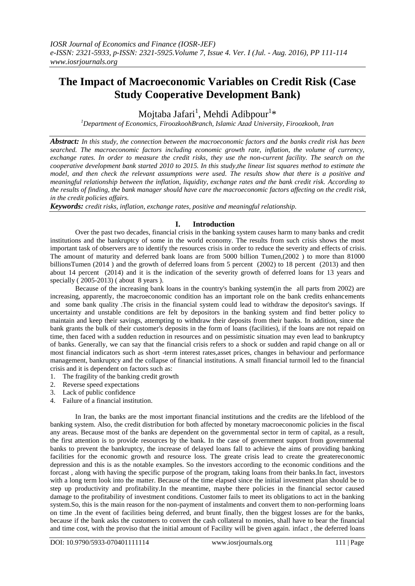# **The Impact of Macroeconomic Variables on Credit Risk (Case Study Cooperative Development Bank)**

Mojtaba Jafari<sup>1</sup>, Mehdi Adibpour<sup>1</sup>\*

*<sup>1</sup>Department of Economics, FiroozkoohBranch, Islamic Azad University, Firoozkooh, Iran*

*Abstract: In this study, the connection between the macroeconomic factors and the banks credit risk has been searched. The macroeconomic factors including economic growth rate, inflation, the volume of currency, exchange rates. In order to measure the credit risks, they use the non-current facility. The search on the cooperative development bank started 2010 to 2015. In this study,the linear list squares method to estimate the model, and then check the relevant assumptions were used. The results show that there is a positive and meaningful relationship between the inflation, liquidity, exchange rates and the bank credit risk. According to the results of finding, the bank manager should have care the macroeconomic factors affecting on the credit risk, in the credit policies affairs.* 

*Keywords: credit risks, inflation, exchange rates, positive and meaningful relationship.*

## **I. Introduction**

Over the past two decades, financial crisis in the banking system causes harm to many banks and credit institutions and the bankruptcy of some in the world economy. The results from such crisis shows the most important task of observers are to identify the resources crisis in order to reduce the severity and effects of crisis. The amount of maturity and deferred bank loans are from 5000 billion Tumen,(2002 ) to more than 81000 billionsTumen (2014 ) and the growth of deferred loans from 5 percent (2002) to 18 percent (2013) and then about 14 percent (2014) and it is the indication of the severity growth of deferred loans for 13 years and specially ( 2005-2013) ( about 8 years ).

Because of the increasing bank loans in the country's banking system(in the all parts from 2002) are increasing, apparently, the macroeconomic condition has an important role on the bank credits enhancements and some bank quality .The crisis in the financial system could lead to withdraw the depositor's savings. If uncertainty and unstable conditions are felt by depositors in the banking system and find better policy to maintain and keep their savings, attempting to withdraw their deposits from their banks. In addition, since the bank grants the bulk of their customer's deposits in the form of loans (facilities), if the loans are not repaid on time, then faced with a sudden reduction in resources and on pessimistic situation may even lead to bankruptcy of banks. Generally, we can say that the financial crisis refers to a shock or sudden and rapid change on all or most financial indicators such as short -term interest rates,asset prices, changes in behaviour and performance management, bankruptcy and the collapse of financial institutions. A small financial turmoil led to the financial crisis and it is dependent on factors such as:

- 1. The fragility of the banking credit growth
- 2. Reverse speed expectations
- 3. Lack of public confidence
- 4. Failure of a financial institution.

In Iran, the banks are the most important financial institutions and the credits are the lifeblood of the banking system. Also, the credit distribution for both affected by monetary macroeconomic policies in the fiscal any areas. Because most of the banks are dependent on the governmental sector in term of capital, as a result, the first attention is to provide resources by the bank. In the case of government support from governmental banks to prevent the bankruptcy, the increase of delayed loans fall to achieve the aims of providing banking facilities for the economic growth and resource loss. The greate crisis lead to create the greatereconomic depression and this is as the notable examples. So the investors according to the economic conditions and the forcast , along with having the specific purpose of the program, taking loans from their banks.In fact, investors with a long term look into the matter. Because of the time elapsed since the initial investment plan should be to step up productivity and profitability.In the meantime, maybe there policies in the financial sector caused damage to the profitability of investment conditions. Customer fails to meet its obligations to act in the banking system.So, this is the main reason for the non-payment of instalments and convert them to non-performing loans on time .In the event of facilities being deferred, and brunt finally, then the biggest losses are for the banks, because if the bank asks the customers to convert the cash collateral to monies, shall have to bear the financial and time cost, with the proviso that the initial amount of Facility will be given again. infact , the deferred loans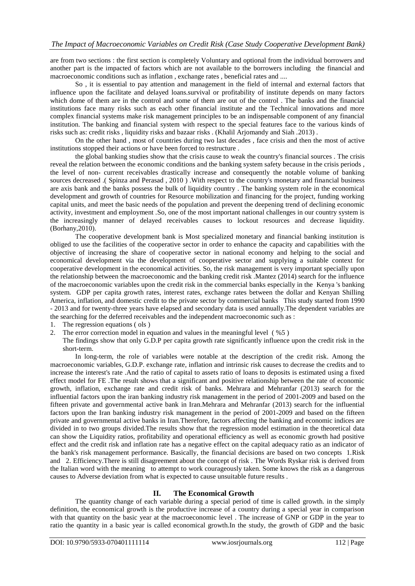are from two sections : the first section is completely Voluntary and optional from the individual borrowers and another part is the impacted of factors which are not available to the borrowers including the financial and macroeconomic conditions such as inflation , exchange rates , beneficial rates and ....

So , it is essential to pay attention and management in the field of internal and external factors that influence upon the facilitate and delayed loans.survival or profitability of institute depends on many factors which dome of them are in the control and some of them are out of the control . The banks and the financial institutions face many risks such as each other financial institute and the Technical innovations and more complex financial systems make risk management principles to be an indispensable component of any financial institution. The banking and financial system with respect to the special features face to the various kinds of risks such as: credit risks , liquidity risks and bazaar risks . (Khalil Arjomandy and Siah .2013) .

On the other hand , most of countries during two last decades , face crisis and then the most of active institutions stopped their actions or have been forced to restructure .

the global banking studies show that the crisis cause to weak the country's financial sources . The crisis reveal the relation between the economic conditions and the banking system safety because in the crisis periods , the level of non- current receivables drastically increase and consequently the notable volume of banking sources decreased .( Spinza and Perasad , 2010 ) .With respect to the country's monetary and financial business are axis bank and the banks possess the bulk of liquidity country . The banking system role in the economical development and growth of countries for Resource mobilization and financing for the project, funding working capital units, and meet the basic needs of the population and prevent the deepening trend of declining economic activity, investment and employment .So, one of the most important national challenges in our country system is the increasingly manner of delayed receivables causes to lockout resources and decrease liquidity. (Borhany,2010).

The cooperative development bank is Most specialized monetary and financial banking institution is obliged to use the facilities of the cooperative sector in order to enhance the capacity and capabilities with the objective of increasing the share of cooperative sector in national economy and helping to the social and economical development via the development of cooperative sector and supplying a suitable context for cooperative development in the economical activities. So, the risk management is very important specially upon the relationship between the macroeconomic and the banking credit risk .Mantez (2014) search for the influence of the macroeconomic variables upon the credit risk in the commercial banks especially in the Kenya 's banking system. GDP per capita growth rates, interest rates, exchange rates between the dollar and Kenyan Shilling America, inflation, and domestic credit to the private sector by commercial banks This study started from 1990 - 2013 and for twenty-three years have elapsed and secondary data is used annually.The dependent variables are the searching for the deferred receivables and the independent macroeconomic such as :

- 1. The regression equations ( ols )
- 2. The error correction model in equation and values in the meaningful level ( %5 )
	- The findings show that only G.D.P per capita growth rate significantly influence upon the credit risk in the short-term.

In long-term, the role of variables were notable at the description of the credit risk. Among the macroeconomic variables, G.D.P. exchange rate, inflation and intrinsic risk causes to decrease the credits and to increase the interest's rate .And the ratio of capital to assets ratio of loans to deposits is estimated using a fixed effect model for FE .The result shows that a significant and positive relationship between the rate of economic growth, inflation, exchange rate and credit risk of banks. Mehrara and Mehranfar (2013) search for the influential factors upon the iran banking industry risk management in the period of 2001-2009 and based on the fifteen private and governmental active bank in Iran.Mehrara and Mehranfar (2013) search for the influential factors upon the Iran banking industry risk management in the period of 2001-2009 and based on the fifteen private and governmental active banks in Iran.Therefore, factors affecting the banking and economic indices are divided in to two groups divided.The results show that the regression model estimation in the theoretical data can show the Liquidity ratios, profitability and operational efficiency as well as economic growth had positive effect and the credit risk and inflation rate has a negative effect on the capital adequacy ratio as an indicator of the bank's risk management performance. Basically, the financial decisions are based on two concepts 1.Risk and 2. Efficiency.There is still disagreement about the concept of risk . The Words Ryskar risk is derived from the Italian word with the meaning to attempt to work courageously taken. Some knows the risk as a dangerous causes to Adverse deviation from what is expected to cause unsuitable future results .

## **II. The Economical Growth**

The quantity change of each variable during a special period of time is called growth. in the simply definition, the economical growth is the productive increase of a country during a special year in comparison with that quantity on the basic year at the macroeconomic level. The increase of GNP or GDP in the year to ratio the quantity in a basic year is called economical growth.In the study, the growth of GDP and the basic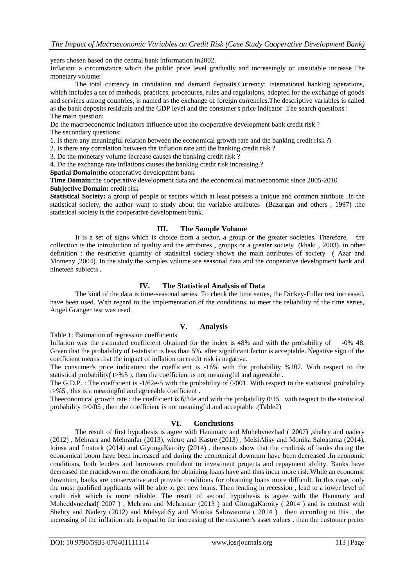years chosen based on the central bank information in2002.

Inflation: a circumstance which the public price level gradually and increasingly or unsuitable increase.The monetary volume:

The total currency in circulation and demand deposits.Currency: international banking operations, which includes a set of methods, practices, procedures, rules and regulations, adopted for the exchange of goods and services among countries, is named as the exchange of foreign currencies.The descriptive variables is called as the bank deposits residuals and the GDP level and the consumer's price indicator .The search questions : The main question:

Do the macroeconomic indicators influence upon the cooperative development bank credit risk ? The secondary questions:

1. Is there any meaningful relation between the economical growth rate and the banking credit risk ?ï

2. Is there any correlation between the inflation rate and the banking credit risk ?

3. Do the monetary volume increase causes the banking credit risk ?

4. Do the exchange rate inflations causes the banking credit risk increasing ?

**Spatial Domain:**the cooperative development bank

**Time Domain:**the cooperative development data and the economical macroeconomic since 2005-2010 **Subjective Domain:** credit risk

**Statistical Society:** a group of people or sectors which at least possess a unique and common attribute .In the statistical society, the author want to study about the variable attributes (Bazargan and others , 1997) .the statistical society is the cooperative development bank.

#### **III. The Sample Volume**

It is a set of signs which is choice from a sector, a group or the greater societies. Therefore, the collection is the introduction of quality and the attributes , groups or a greater society (khaki , 2003). in other definition : the restrictive quantity of statistical society shows the main attributes of society ( Azar and Momeny ,2004). In the study,the samples volume are seasonal data and the cooperative development bank and nineteen subjects .

## **IV. The Statistical Analysis of Data**

The kind of the data is time-seasonal series. To check the time series, the Dickey-Fuller test increased, have been used. With regard to the implementation of the conditions, to meet the reliability of the time series, Angel Granger test was used.

## **V. Analysis**

Table 1: Estimation of regression coefficients

Inflation was the estimated coefficient obtained for the index is 48% and with the probability of -0% 48. Given that the probability of t-statistic is less than 5%, after significant factor is acceptable. Negative sign of the coefficient means that the impact of inflation on credit risk is negative.

The consumer's price indicators: the coefficient is -16% with the probability %107. With respect to the statistical probability( $t$ >%5), then the coefficient is not meaningful and agreeable.

The G.D.P. : The coefficient is -1/62e-5 with the probability of 0/001. With respect to the statistical probability t>%5 , this is a meaningful and agreeable coefficient .

Theeconomical growth rate : the coefficient is  $6/34e$  and with the probability  $0/15$ . with respect to the statistical probability t>0/05 , then rhe coefficient is not meaningful and acceptable .(Table2)

#### **VI. Conclusions**

The result of first hypothesis is agree with Hemmaty and Mohebynezhad ( 2007) ,shehry and nadery (2012) , Mehrara and Mehranfar (2013), wietro and Kastre (2013) , MelsiAlisy and Monika Saloatama (2014), loinsa and Imatork (2014) and GiyongaKaroity (2014) . theresuts show that the credirisk of banks during the economical boom have been increased and during the economical downturn have been decreased .In economic conditions, both lenders and borrowers confident to investment projects and repayment ability. Banks have decreased the crackdown on the conditions for obtaining loans have and thus incur more risk.While an economic downturn, banks are conservative and provide conditions for obtaining loans more difficult. In this case, only the most qualified applicants will be able to get new loans. Then lending in recession , lead to a lower level of credit risk which is more reliable. The result of second hypothesis is agree with the Hemmaty and Moheddynezhad( 2007 ) , Mehrara and Mehranfar (2013 ) and GitongaKaroity ( 2014 ) and is contrast with Shehry and Nadery (2012) and MelsyaliSy and Monika Salowatoma ( 2014 ) . then according to this , the increasing of the inflation rate is equal to the increasing of the customer's asset values . then the customer prefer